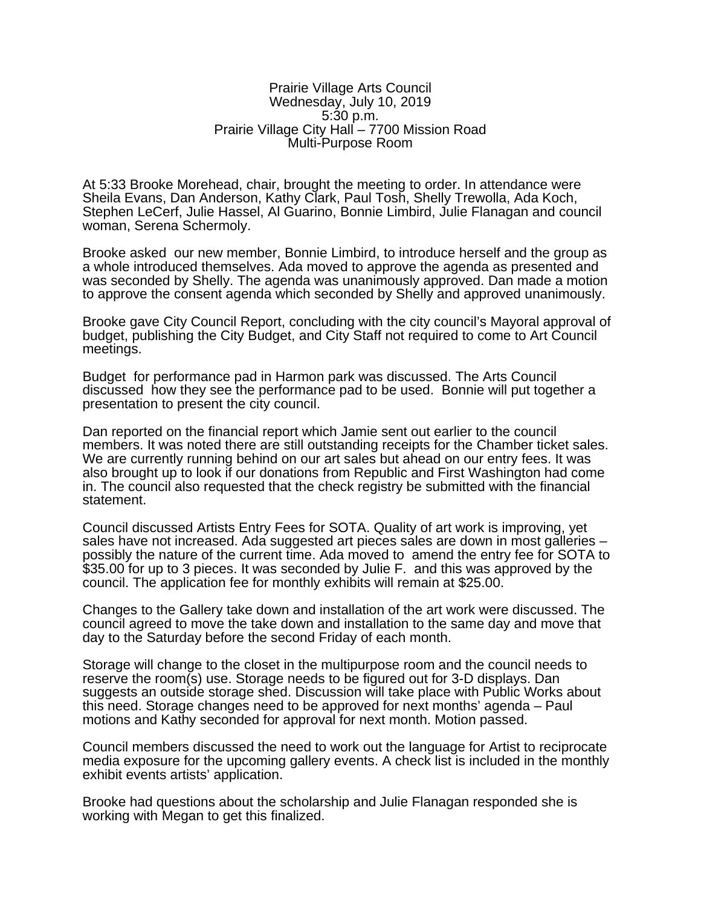## Prairie Village Arts Council Wednesday, July 10, 2019 5:30 p.m. Prairie Village City Hall – 7700 Mission Road Multi-Purpose Room

At 5:33 Brooke Morehead, chair, brought the meeting to order. In attendance were Sheila Evans, Dan Anderson, Kathy Clark, Paul Tosh, Shelly Trewolla, Ada Koch, Stephen LeCerf, Julie Hassel, Al Guarino, Bonnie Limbird, Julie Flanagan and council woman, Serena Schermoly.

Brooke asked our new member, Bonnie Limbird, to introduce herself and the group as a whole introduced themselves. Ada moved to approve the agenda as presented and was seconded by Shelly. The agenda was unanimously approved. Dan made a motion to approve the consent agenda which seconded by Shelly and approved unanimously.

Brooke gave City Council Report, concluding with the city council's Mayoral approval of budget, publishing the City Budget, and City Staff not required to come to Art Council meetings.

Budget for performance pad in Harmon park was discussed. The Arts Council discussed how they see the performance pad to be used. Bonnie will put together a presentation to present the city council.

Dan reported on the financial report which Jamie sent out earlier to the council members. It was noted there are still outstanding receipts for the Chamber ticket sales. We are currently running behind on our art sales but ahead on our entry fees. It was also brought up to look if our donations from Republic and First Washington had come in. The council also requested that the check registry be submitted with the financial statement.

Council discussed Artists Entry Fees for SOTA. Quality of art work is improving, yet sales have not increased. Ada suggested art pieces sales are down in most galleries – possibly the nature of the current time. Ada moved to amend the entry fee for SOTA to \$35.00 for up to 3 pieces. It was seconded by Julie F. and this was approved by the council. The application fee for monthly exhibits will remain at \$25.00.

Changes to the Gallery take down and installation of the art work were discussed. The council agreed to move the take down and installation to the same day and move that day to the Saturday before the second Friday of each month.

Storage will change to the closet in the multipurpose room and the council needs to reserve the room(s) use. Storage needs to be figured out for 3-D displays. Dan suggests an outside storage shed. Discussion will take place with Public Works about this need. Storage changes need to be approved for next months' agenda – Paul motions and Kathy seconded for approval for next month. Motion passed.

Council members discussed the need to work out the language for Artist to reciprocate media exposure for the upcoming gallery events. A check list is included in the monthly exhibit events artists' application.

Brooke had questions about the scholarship and Julie Flanagan responded she is working with Megan to get this finalized.